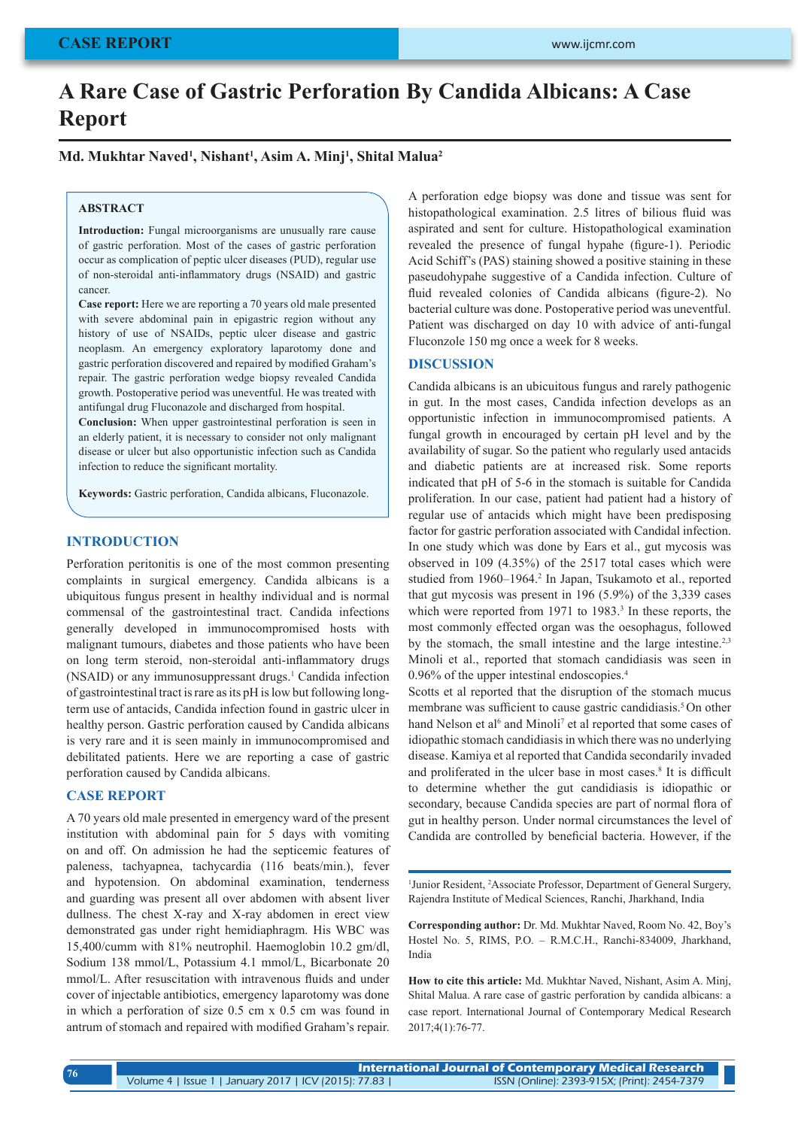# **A Rare Case of Gastric Perforation By Candida Albicans: A Case Report**

**Md. Mukhtar Naved1 , Nishant1 , Asim A. Minj1 , Shital Malua2**

#### **ABSTRACT**

Introduction: Fungal microorganisms are unusually rare cause of gastric perforation. Most of the cases of gastric perforation occur as complication of peptic ulcer diseases (PUD), regular use of non-steroidal anti-inflammatory drugs (NSAID) and gastric cancer.

**Case report:** Here we are reporting a 70 years old male presented with severe abdominal pain in epigastric region without any history of use of NSAIDs, peptic ulcer disease and gastric neoplasm. An emergency exploratory laparotomy done and gastric perforation discovered and repaired by modified Graham's repair. The gastric perforation wedge biopsy revealed Candida growth. Postoperative period was uneventful. He was treated with antifungal drug Fluconazole and discharged from hospital.

**Conclusion:** When upper gastrointestinal perforation is seen in an elderly patient, it is necessary to consider not only malignant disease or ulcer but also opportunistic infection such as Candida infection to reduce the significant mortality.

**Keywords:** Gastric perforation, Candida albicans, Fluconazole.

## **INTRODUCTION**

Perforation peritonitis is one of the most common presenting complaints in surgical emergency. Candida albicans is a ubiquitous fungus present in healthy individual and is normal commensal of the gastrointestinal tract. Candida infections generally developed in immunocompromised hosts with malignant tumours, diabetes and those patients who have been on long term steroid, non-steroidal anti-inflammatory drugs (NSAID) or any immunosuppressant drugs.<sup>1</sup> Candida infection of gastrointestinal tract is rare as its pH is low but following longterm use of antacids, Candida infection found in gastric ulcer in healthy person. Gastric perforation caused by Candida albicans is very rare and it is seen mainly in immunocompromised and debilitated patients. Here we are reporting a case of gastric perforation caused by Candida albicans.

#### **CASE REPORT**

A 70 years old male presented in emergency ward of the present institution with abdominal pain for 5 days with vomiting on and off. On admission he had the septicemic features of paleness, tachyapnea, tachycardia (116 beats/min.), fever and hypotension. On abdominal examination, tenderness and guarding was present all over abdomen with absent liver dullness. The chest X-ray and X-ray abdomen in erect view demonstrated gas under right hemidiaphragm. His WBC was 15,400/cumm with 81% neutrophil. Haemoglobin 10.2 gm/dl, Sodium 138 mmol/L, Potassium 4.1 mmol/L, Bicarbonate 20 mmol/L. After resuscitation with intravenous fluids and under cover of injectable antibiotics, emergency laparotomy was done in which a perforation of size 0.5 cm x 0.5 cm was found in antrum of stomach and repaired with modified Graham's repair.

A perforation edge biopsy was done and tissue was sent for histopathological examination. 2.5 litres of bilious fluid was aspirated and sent for culture. Histopathological examination revealed the presence of fungal hypahe (figure-1). Periodic Acid Schiff's (PAS) staining showed a positive staining in these paseudohypahe suggestive of a Candida infection. Culture of fluid revealed colonies of Candida albicans (figure-2). No bacterial culture was done. Postoperative period was uneventful. Patient was discharged on day 10 with advice of anti-fungal Fluconzole 150 mg once a week for 8 weeks.

## **DISCUSSION**

Candida albicans is an ubicuitous fungus and rarely pathogenic in gut. In the most cases, Candida infection develops as an opportunistic infection in immunocompromised patients. A fungal growth in encouraged by certain pH level and by the availability of sugar. So the patient who regularly used antacids and diabetic patients are at increased risk. Some reports indicated that pH of 5-6 in the stomach is suitable for Candida proliferation. In our case, patient had patient had a history of regular use of antacids which might have been predisposing factor for gastric perforation associated with Candidal infection. In one study which was done by Ears et al., gut mycosis was observed in 109 (4.35%) of the 2517 total cases which were studied from 1960-1964.<sup>2</sup> In Japan, Tsukamoto et al., reported that gut mycosis was present in 196 (5.9%) of the 3,339 cases which were reported from 1971 to 1983.<sup>3</sup> In these reports, the most commonly effected organ was the oesophagus, followed by the stomach, the small intestine and the large intestine.<sup>2,3</sup> Minoli et al., reported that stomach candidiasis was seen in 0.96% of the upper intestinal endoscopies.4

Scotts et al reported that the disruption of the stomach mucus membrane was sufficient to cause gastric candidiasis.<sup>5</sup> On other hand Nelson et al<sup>6</sup> and Minoli<sup>7</sup> et al reported that some cases of idiopathic stomach candidiasis in which there was no underlying disease. Kamiya et al reported that Candida secondarily invaded and proliferated in the ulcer base in most cases.<sup>8</sup> It is difficult to determine whether the gut candidiasis is idiopathic or secondary, because Candida species are part of normal flora of gut in healthy person. Under normal circumstances the level of Candida are controlled by beneficial bacteria. However, if the

<sup>1</sup> Junior Resident, <sup>2</sup> Associate Professor, Department of General Surgery, Rajendra Institute of Medical Sciences, Ranchi, Jharkhand, India

**Corresponding author:** Dr. Md. Mukhtar Naved, Room No. 42, Boy's Hostel No. 5, RIMS, P.O. – R.M.C.H., Ranchi-834009, Jharkhand, India

**How to cite this article:** Md. Mukhtar Naved, Nishant, Asim A. Minj, Shital Malua. A rare case of gastric perforation by candida albicans: a case report. International Journal of Contemporary Medical Research 2017;4(1):76-77.